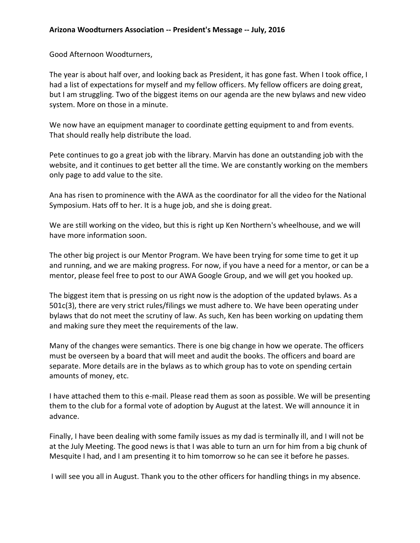Good Afternoon Woodturners,

The year is about half over, and looking back as President, it has gone fast. When I took office, I had a list of expectations for myself and my fellow officers. My fellow officers are doing great, but I am struggling. Two of the biggest items on our agenda are the new bylaws and new video system. More on those in a minute.

We now have an equipment manager to coordinate getting equipment to and from events. That should really help distribute the load.

Pete continues to go a great job with the library. Marvin has done an outstanding job with the website, and it continues to get better all the time. We are constantly working on the members only page to add value to the site.

Ana has risen to prominence with the AWA as the coordinator for all the video for the National Symposium. Hats off to her. It is a huge job, and she is doing great.

We are still working on the video, but this is right up Ken Northern's wheelhouse, and we will have more information soon.

The other big project is our Mentor Program. We have been trying for some time to get it up and running, and we are making progress. For now, if you have a need for a mentor, or can be a mentor, please feel free to post to our AWA Google Group, and we will get you hooked up.

The biggest item that is pressing on us right now is the adoption of the updated bylaws. As a 501c(3), there are very strict rules/filings we must adhere to. We have been operating under bylaws that do not meet the scrutiny of law. As such, Ken has been working on updating them and making sure they meet the requirements of the law.

Many of the changes were semantics. There is one big change in how we operate. The officers must be overseen by a board that will meet and audit the books. The officers and board are separate. More details are in the bylaws as to which group has to vote on spending certain amounts of money, etc.

I have attached them to this e-mail. Please read them as soon as possible. We will be presenting them to the club for a formal vote of adoption by August at the latest. We will announce it in advance.

Finally, I have been dealing with some family issues as my dad is terminally ill, and I will not be at the July Meeting. The good news is that I was able to turn an urn for him from a big chunk of Mesquite I had, and I am presenting it to him tomorrow so he can see it before he passes.

I will see you all in August. Thank you to the other officers for handling things in my absence.